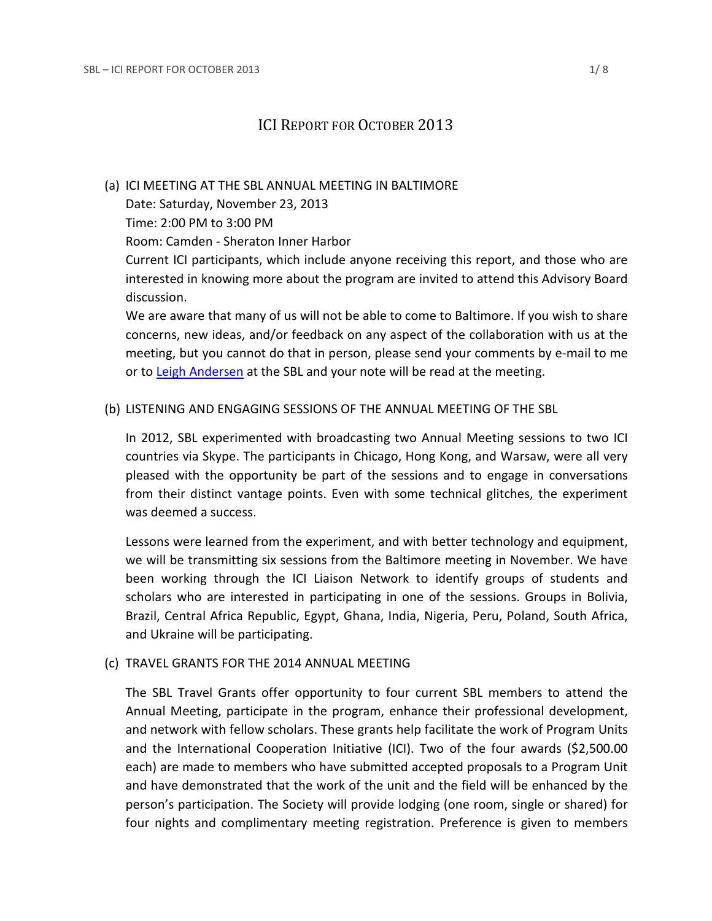# ICI REPORT FOR OCTOBER 2013

#### (a) ICI MEETING AT THE SBL ANNUAL MEETING IN BALTIMORE

Date: Saturday, November 23, 2013

Time: 2:00 PM to 3:00 PM

Room: Camden - Sheraton Inner Harbor

Current ICI participants, which include anyone receiving this report, and those who are interested in knowing more about the program are invited to attend this Advisory Board discussion.

We are aware that many of us will not be able to come to Baltimore. If you wish to share concerns, new ideas, and/or feedback on any aspect of the collaboration with us at the meeting, but you cannot do that in person, please send your comments by e-mail to me or to [Leigh Andersen](mailto:leigh.andersen@sbl-site.org) at the SBL and your note will be read at the meeting.

# (b) LISTENING AND ENGAGING SESSIONS OF THE ANNUAL MEETING OF THE SBL

In 2012, SBL experimented with broadcasting two Annual Meeting sessions to two ICI countries via Skype. The participants in Chicago, Hong Kong, and Warsaw, were all very pleased with the opportunity be part of the sessions and to engage in conversations from their distinct vantage points. Even with some technical glitches, the experiment was deemed a success.

Lessons were learned from the experiment, and with better technology and equipment, we will be transmitting six sessions from the Baltimore meeting in November. We have been working through the ICI Liaison Network to identify groups of students and scholars who are interested in participating in one of the sessions. Groups in Bolivia, Brazil, Central Africa Republic, Egypt, Ghana, India, Nigeria, Peru, Poland, South Africa, and Ukraine will be participating.

### (c) TRAVEL GRANTS FOR THE 2014 ANNUAL MEETING

The SBL Travel Grants offer opportunity to four current SBL members to attend the Annual Meeting, participate in the program, enhance their professional development, and network with fellow scholars. These grants help facilitate the work of Program Units and the International Cooperation Initiative (ICI). Two of the four awards (\$2,500.00 each) are made to members who have submitted accepted proposals to a Program Unit and have demonstrated that the work of the unit and the field will be enhanced by the person's participation. The Society will provide lodging (one room, single or shared) for four nights and complimentary meeting registration. Preference is given to members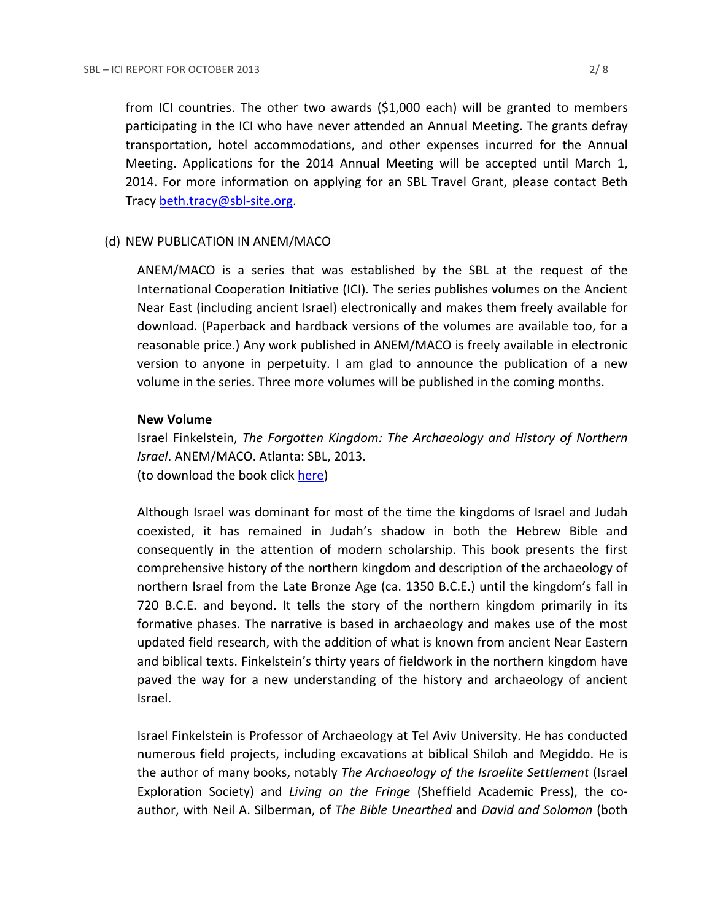from ICI countries. The other two awards (\$1,000 each) will be granted to members participating in the ICI who have never attended an Annual Meeting. The grants defray transportation, hotel accommodations, and other expenses incurred for the Annual Meeting. Applications for the 2014 Annual Meeting will be accepted until March 1, 2014. For more information on applying for an SBL Travel Grant, please contact Beth Tracy [beth.tracy@sbl-site.org.](mailto:beth.tracy@sbl-site.org)

#### (d) NEW PUBLICATION IN ANEM/MACO

ANEM/MACO is a series that was established by the SBL at the request of the International Cooperation Initiative (ICI). The series publishes volumes on the Ancient Near East (including ancient Israel) electronically and makes them freely available for download. (Paperback and hardback versions of the volumes are available too, for a reasonable price.) Any work published in ANEM/MACO is freely available in electronic version to anyone in perpetuity. I am glad to announce the publication of a new volume in the series. Three more volumes will be published in the coming months.

#### **New Volume**

Israel Finkelstein, *The Forgotten Kingdom: The Archaeology and History of Northern Israel*. ANEM/MACO. Atlanta: SBL, 2013. (to download the book click [here\)](http://www.sbl-site.org/assets/pdfs/9781589839106dwld_txt.pdf)

Although Israel was dominant for most of the time the kingdoms of Israel and Judah coexisted, it has remained in Judah's shadow in both the Hebrew Bible and consequently in the attention of modern scholarship. This book presents the first comprehensive history of the northern kingdom and description of the archaeology of northern Israel from the Late Bronze Age (ca. 1350 B.C.E.) until the kingdom's fall in 720 B.C.E. and beyond. It tells the story of the northern kingdom primarily in its formative phases. The narrative is based in archaeology and makes use of the most updated field research, with the addition of what is known from ancient Near Eastern and biblical texts. Finkelstein's thirty years of fieldwork in the northern kingdom have paved the way for a new understanding of the history and archaeology of ancient Israel.

Israel Finkelstein is Professor of Archaeology at Tel Aviv University. He has conducted numerous field projects, including excavations at biblical Shiloh and Megiddo. He is the author of many books, notably *The Archaeology of the Israelite Settlement* (Israel Exploration Society) and *Living on the Fringe* (Sheffield Academic Press), the coauthor, with Neil A. Silberman, of *The Bible Unearthed* and *David and Solomon* (both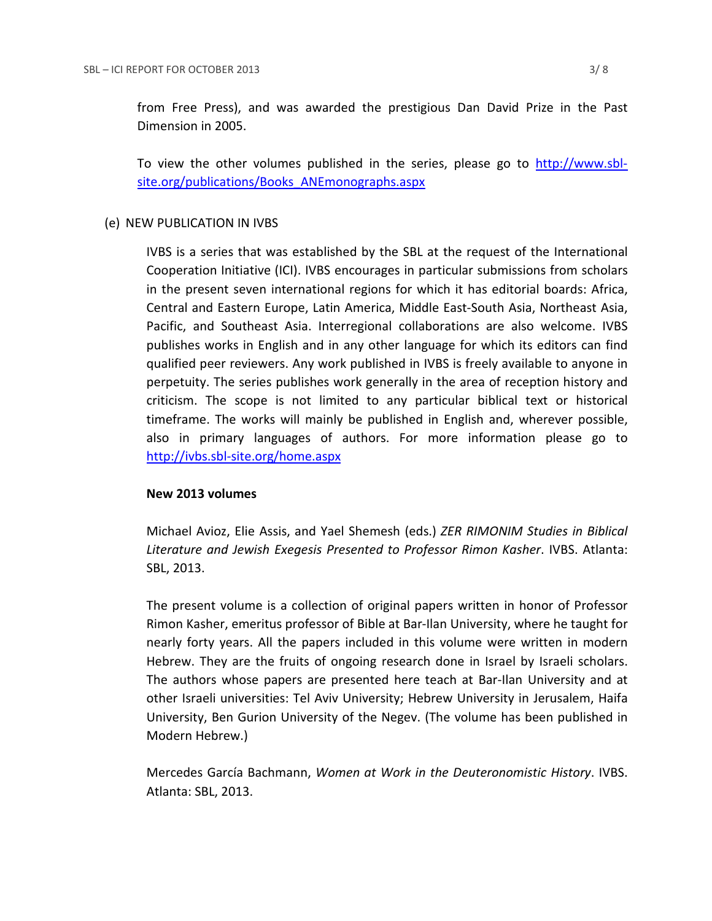from Free Press), and was awarded the prestigious Dan David Prize in the Past Dimension in 2005.

To view the other volumes published in the series, please go to [http://www.sbl](http://www.sbl-site.org/publications/Books_ANEmonographs.aspx)[site.org/publications/Books\\_ANEmonographs.aspx](http://www.sbl-site.org/publications/Books_ANEmonographs.aspx)

### (e) NEW PUBLICATION IN IVBS

IVBS is a series that was established by the SBL at the request of the International Cooperation Initiative (ICI). IVBS encourages in particular submissions from scholars in the present seven international regions for which it has editorial boards: Africa, Central and Eastern Europe, Latin America, Middle East-South Asia, Northeast Asia, Pacific, and Southeast Asia. Interregional collaborations are also welcome. IVBS publishes works in English and in any other language for which its editors can find qualified peer reviewers. Any work published in IVBS is freely available to anyone in perpetuity. The series publishes work generally in the area of reception history and criticism. The scope is not limited to any particular biblical text or historical timeframe. The works will mainly be published in English and, wherever possible, also in primary languages of authors. For more information please go to <http://ivbs.sbl-site.org/home.aspx>

### **New 2013 volumes**

Michael Avioz, Elie Assis, and Yael Shemesh (eds.) *ZER RIMONIM Studies in Biblical Literature and Jewish Exegesis Presented to Professor Rimon Kasher*. IVBS. Atlanta: SBL, 2013.

The present volume is a collection of original papers written in honor of Professor Rimon Kasher, emeritus professor of Bible at Bar-Ilan University, where he taught for nearly forty years. All the papers included in this volume were written in modern Hebrew. They are the fruits of ongoing research done in Israel by Israeli scholars. The authors whose papers are presented here teach at Bar-Ilan University and at other Israeli universities: Tel Aviv University; Hebrew University in Jerusalem, Haifa University, Ben Gurion University of the Negev. (The volume has been published in Modern Hebrew.)

Mercedes García Bachmann, *Women at Work in the Deuteronomistic History*. IVBS. Atlanta: SBL, 2013.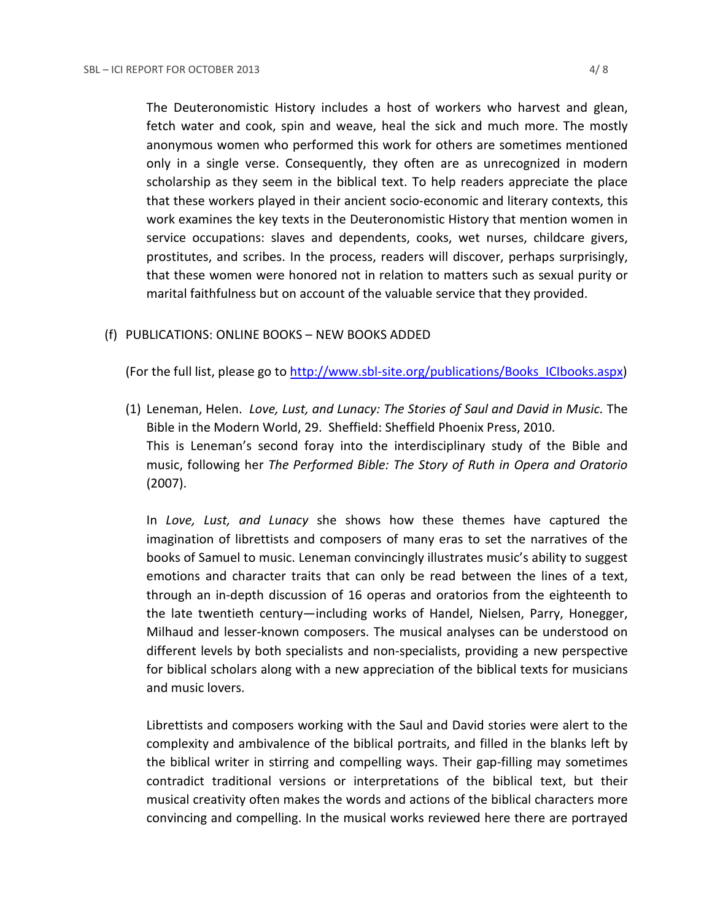The Deuteronomistic History includes a host of workers who harvest and glean, fetch water and cook, spin and weave, heal the sick and much more. The mostly anonymous women who performed this work for others are sometimes mentioned only in a single verse. Consequently, they often are as unrecognized in modern scholarship as they seem in the biblical text. To help readers appreciate the place that these workers played in their ancient socio-economic and literary contexts, this work examines the key texts in the Deuteronomistic History that mention women in service occupations: slaves and dependents, cooks, wet nurses, childcare givers, prostitutes, and scribes. In the process, readers will discover, perhaps surprisingly, that these women were honored not in relation to matters such as sexual purity or marital faithfulness but on account of the valuable service that they provided.

# (f) PUBLICATIONS: ONLINE BOOKS – NEW BOOKS ADDED

(For the full list, please go to [http://www.sbl-site.org/publications/Books\\_ICIbooks.aspx\)](http://www.sbl-site.org/publications/Books_ICIbooks.aspx)

(1) Leneman, Helen. *Love, Lust, and Lunacy: The Stories of Saul and David in Music.* The Bible in the Modern World, 29. Sheffield: Sheffield Phoenix Press, 2010. This is Leneman's second foray into the interdisciplinary study of the Bible and music, following her *The Performed Bible: The Story of Ruth in Opera and Oratorio* (2007).

In *Love, Lust, and Lunacy* she shows how these themes have captured the imagination of librettists and composers of many eras to set the narratives of the books of Samuel to music. Leneman convincingly illustrates music's ability to suggest emotions and character traits that can only be read between the lines of a text, through an in-depth discussion of 16 operas and oratorios from the eighteenth to the late twentieth century—including works of Handel, Nielsen, Parry, Honegger, Milhaud and lesser-known composers. The musical analyses can be understood on different levels by both specialists and non-specialists, providing a new perspective for biblical scholars along with a new appreciation of the biblical texts for musicians and music lovers.

Librettists and composers working with the Saul and David stories were alert to the complexity and ambivalence of the biblical portraits, and filled in the blanks left by the biblical writer in stirring and compelling ways. Their gap-filling may sometimes contradict traditional versions or interpretations of the biblical text, but their musical creativity often makes the words and actions of the biblical characters more convincing and compelling. In the musical works reviewed here there are portrayed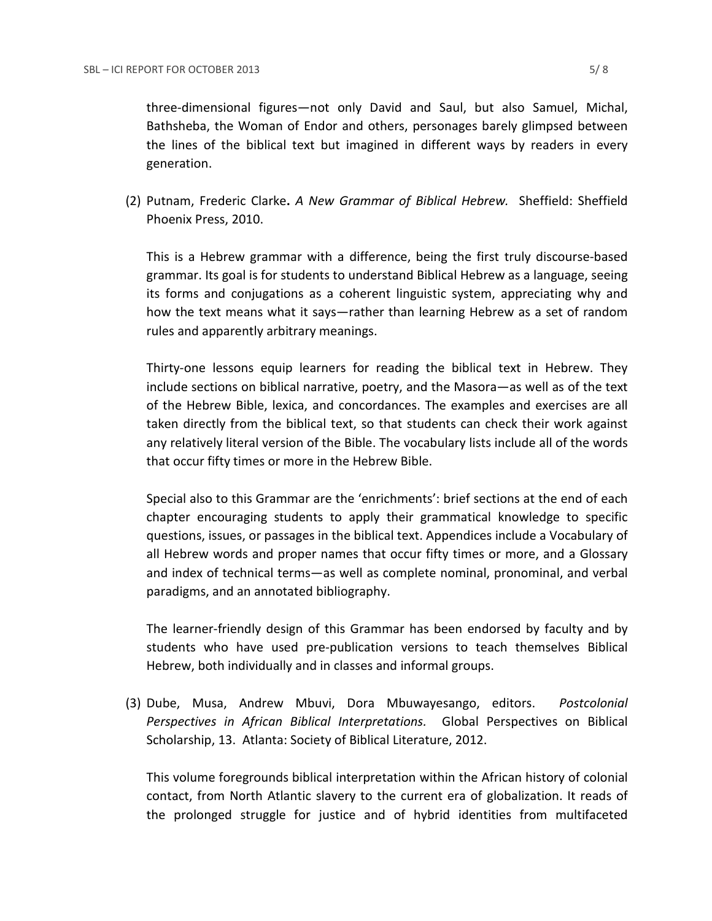(2) Putnam, Frederic Clarke**.** *A New Grammar of Biblical Hebrew.* Sheffield: Sheffield Phoenix Press, 2010.

This is a Hebrew grammar with a difference, being the first truly discourse-based grammar. Its goal is for students to understand Biblical Hebrew as a language, seeing its forms and conjugations as a coherent linguistic system, appreciating why and how the text means what it says—rather than learning Hebrew as a set of random rules and apparently arbitrary meanings.

Thirty-one lessons equip learners for reading the biblical text in Hebrew. They include sections on biblical narrative, poetry, and the Masora—as well as of the text of the Hebrew Bible, lexica, and concordances. The examples and exercises are all taken directly from the biblical text, so that students can check their work against any relatively literal version of the Bible. The vocabulary lists include all of the words that occur fifty times or more in the Hebrew Bible.

Special also to this Grammar are the 'enrichments': brief sections at the end of each chapter encouraging students to apply their grammatical knowledge to specific questions, issues, or passages in the biblical text. Appendices include a Vocabulary of all Hebrew words and proper names that occur fifty times or more, and a Glossary and index of technical terms—as well as complete nominal, pronominal, and verbal paradigms, and an annotated bibliography.

The learner-friendly design of this Grammar has been endorsed by faculty and by students who have used pre-publication versions to teach themselves Biblical Hebrew, both individually and in classes and informal groups.

(3) Dube, Musa, Andrew Mbuvi, Dora Mbuwayesango, editors. *Postcolonial Perspectives in African Biblical Interpretations.* Global Perspectives on Biblical Scholarship, 13. Atlanta: Society of Biblical Literature, 2012.

This volume foregrounds biblical interpretation within the African history of colonial contact, from North Atlantic slavery to the current era of globalization. It reads of the prolonged struggle for justice and of hybrid identities from multifaceted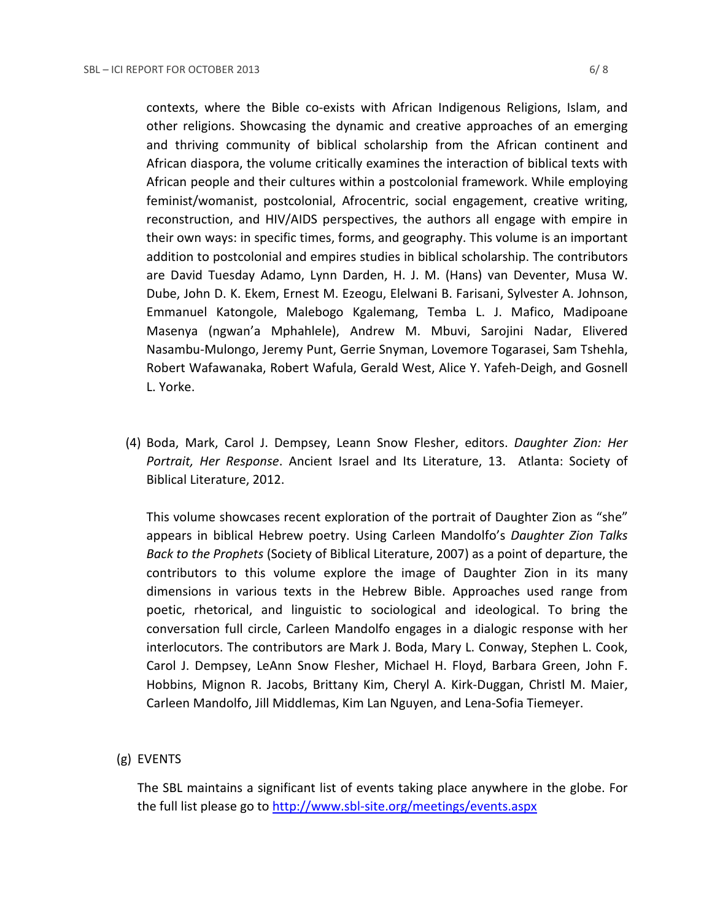contexts, where the Bible co-exists with African Indigenous Religions, Islam, and other religions. Showcasing the dynamic and creative approaches of an emerging and thriving community of biblical scholarship from the African continent and African diaspora, the volume critically examines the interaction of biblical texts with African people and their cultures within a postcolonial framework. While employing feminist/womanist, postcolonial, Afrocentric, social engagement, creative writing, reconstruction, and HIV/AIDS perspectives, the authors all engage with empire in their own ways: in specific times, forms, and geography. This volume is an important addition to postcolonial and empires studies in biblical scholarship. The contributors are David Tuesday Adamo, Lynn Darden, H. J. M. (Hans) van Deventer, Musa W. Dube, John D. K. Ekem, Ernest M. Ezeogu, Elelwani B. Farisani, Sylvester A. Johnson, Emmanuel Katongole, Malebogo Kgalemang, Temba L. J. Mafico, Madipoane Masenya (ngwan'a Mphahlele), Andrew M. Mbuvi, Sarojini Nadar, Elivered Nasambu-Mulongo, Jeremy Punt, Gerrie Snyman, Lovemore Togarasei, Sam Tshehla, Robert Wafawanaka, Robert Wafula, Gerald West, Alice Y. Yafeh-Deigh, and Gosnell L. Yorke.

(4) Boda, Mark, Carol J. Dempsey, Leann Snow Flesher, editors. *Daughter Zion: Her Portrait, Her Response*. Ancient Israel and Its Literature, 13. Atlanta: Society of Biblical Literature, 2012.

This volume showcases recent exploration of the portrait of Daughter Zion as "she" appears in biblical Hebrew poetry. Using Carleen Mandolfo's *Daughter Zion Talks Back to the Prophets* (Society of Biblical Literature, 2007) as a point of departure, the contributors to this volume explore the image of Daughter Zion in its many dimensions in various texts in the Hebrew Bible. Approaches used range from poetic, rhetorical, and linguistic to sociological and ideological. To bring the conversation full circle, Carleen Mandolfo engages in a dialogic response with her interlocutors. The contributors are Mark J. Boda, Mary L. Conway, Stephen L. Cook, Carol J. Dempsey, LeAnn Snow Flesher, Michael H. Floyd, Barbara Green, John F. Hobbins, Mignon R. Jacobs, Brittany Kim, Cheryl A. Kirk-Duggan, Christl M. Maier, Carleen Mandolfo, Jill Middlemas, Kim Lan Nguyen, and Lena-Sofia Tiemeyer.

(g) EVENTS

The SBL maintains a significant list of events taking place anywhere in the globe. For the full list please go to<http://www.sbl-site.org/meetings/events.aspx>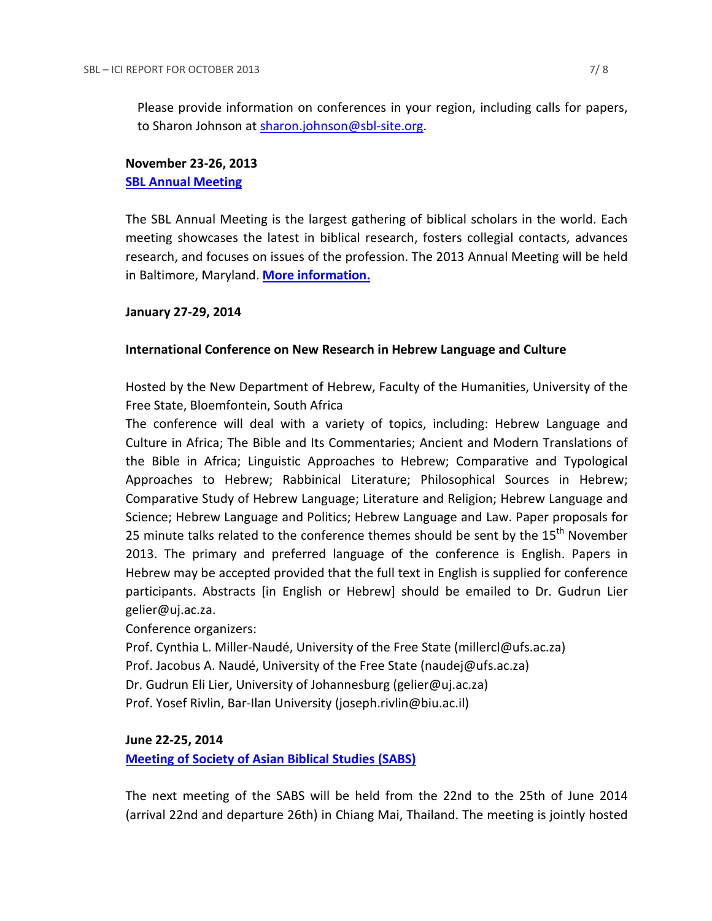Please provide information on conferences in your region, including calls for papers, to Sharon Johnson at [sharon.johnson@sbl-site.org.](mailto:sharon.johnson@sbl-site.org)

# **November 23-26, 2013 [SBL Annual Meeting](http://www.sbl-site.org/meetings/AnnualMeeting.aspx)**

The SBL Annual Meeting is the largest gathering of biblical scholars in the world. Each meeting showcases the latest in biblical research, fosters collegial contacts, advances research, and focuses on issues of the profession. The 2013 Annual Meeting will be held in Baltimore, Maryland. **[More information.](http://www.sbl-site.org/meetings/AnnualMeeting.aspx)**

# **January 27-29, 2014**

# **International Conference on New Research in Hebrew Language and Culture**

Hosted by the New Department of Hebrew, Faculty of the Humanities, University of the Free State, Bloemfontein, South Africa

The conference will deal with a variety of topics, including: Hebrew Language and Culture in Africa; The Bible and Its Commentaries; Ancient and Modern Translations of the Bible in Africa; Linguistic Approaches to Hebrew; Comparative and Typological Approaches to Hebrew; Rabbinical Literature; Philosophical Sources in Hebrew; Comparative Study of Hebrew Language; Literature and Religion; Hebrew Language and Science; Hebrew Language and Politics; Hebrew Language and Law. Paper proposals for 25 minute talks related to the conference themes should be sent by the  $15<sup>th</sup>$  November 2013. The primary and preferred language of the conference is English. Papers in Hebrew may be accepted provided that the full text in English is supplied for conference participants. Abstracts [in English or Hebrew] should be emailed to Dr. Gudrun Lier gelier@uj.ac.za.

Conference organizers:

Prof. Cynthia L. Miller-Naudé, University of the Free State (millercl@ufs.ac.za) Prof. Jacobus A. Naudé, University of the Free State (naudej@ufs.ac.za) Dr. Gudrun Eli Lier, University of Johannesburg (gelier@uj.ac.za) Prof. Yosef Rivlin, Bar-Ilan University (joseph.rivlin@biu.ac.il)

### **June 22-25, 2014**

**[Meeting of Society of Asian Biblical Studies \(SABS\)](http://www.sabs-site.com/venue.html)**

The next meeting of the SABS will be held from the 22nd to the 25th of June 2014 (arrival 22nd and departure 26th) in Chiang Mai, Thailand. The meeting is jointly hosted